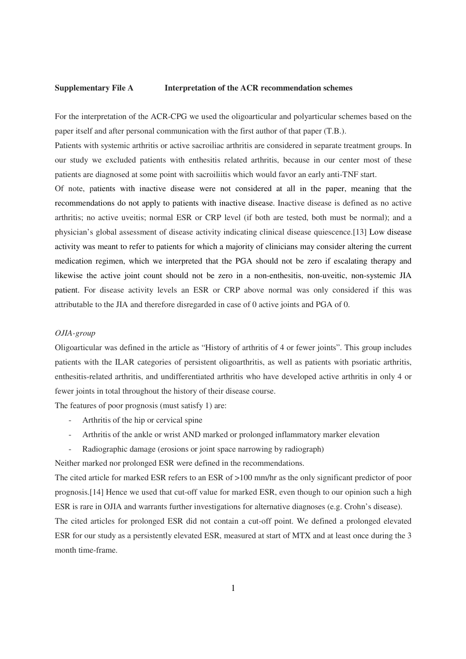## **Supplementary File A****Interpretation of the ACR recommendation schemes**

For the interpretation of the ACR-CPG we used the oligoarticular and polyarticular schemes based on the paper itself and after personal communication with the first author of that paper (T.B.).

Patients with systemic arthritis or active sacroiliac arthritis are considered in separate treatment groups. In our study we excluded patients with enthesitis related arthritis, because in our center most of these patients are diagnosed at some point with sacroiliitis which would favor an early anti-TNF start.

Of note, patients with inactive disease were not considered at all in the paper, meaning that the recommendations do not apply to patients with inactive disease. Inactive disease is defined as no active arthritis; no active uveitis; normal ESR or CRP level (if both are tested, both must be normal); and a physician's global assessment of disease activity indicating clinical disease quiescence.[13] Low disease activity was meant to refer to patients for which a majority of clinicians may consider altering the current medication regimen, which we interpreted that the PGA should not be zero if escalating therapy and likewise the active joint count should not be zero in a non-enthesitis, non-uveitic, non-systemic JIA patient. For disease activity levels an ESR or CRP above normal was only considered if this was attributable to the JIA and therefore disregarded in case of 0 active joints and PGA of 0.

## *OJIA-group*

Oligoarticular was defined in the article as "History of arthritis of 4 or fewer joints". This group includes patients with the ILAR categories of persistent oligoarthritis, as well as patients with psoriatic arthritis, enthesitis-related arthritis, and undifferentiated arthritis who have developed active arthritis in only 4 or fewer joints in total throughout the history of their disease course.

The features of poor prognosis (must satisfy 1) are:

- Arthritis of the hip or cervical spine
- Arthritis of the ankle or wrist AND marked or prolonged inflammatory marker elevation
- Radiographic damage (erosions or joint space narrowing by radiograph)

Neither marked nor prolonged ESR were defined in the recommendations.

The cited article for marked ESR refers to an ESR of >100 mm/hr as the only significant predictor of poor prognosis.[14] Hence we used that cut-off value for marked ESR, even though to our opinion such a high ESR is rare in OJIA and warrants further investigations for alternative diagnoses (e.g. Crohn's disease).

The cited articles for prolonged ESR did not contain a cut-off point. We defined a prolonged elevated ESR for our study as a persistently elevated ESR, measured at start of MTX and at least once during the 3 month time-frame.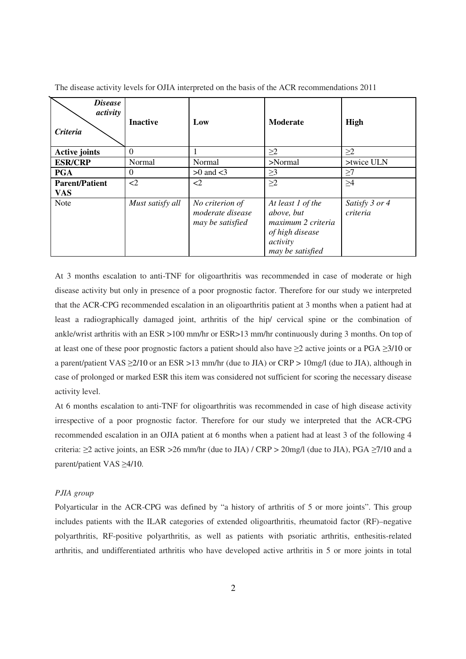| <b>Disease</b><br>activity<br><b>Criteria</b> | <b>Inactive</b>  | Low                                                     | Moderate                                                                                                 | High                       |
|-----------------------------------------------|------------------|---------------------------------------------------------|----------------------------------------------------------------------------------------------------------|----------------------------|
| <b>Active joints</b>                          | $\theta$         |                                                         | $\geq$ 2                                                                                                 | $\geq$ 2                   |
| <b>ESR/CRP</b>                                | Normal           | Normal                                                  | $>$ Normal                                                                                               | >twice ULN                 |
| <b>PGA</b>                                    | $\theta$         | $>0$ and $<$ 3                                          | $\geq$ 3                                                                                                 | $\geq$ 7                   |
| <b>Parent/Patient</b><br><b>VAS</b>           | $\leq$ 2         | $\leq$ 2                                                | $\geq$ 2                                                                                                 | $\geq 4$                   |
| <b>Note</b>                                   | Must satisfy all | No criterion of<br>moderate disease<br>may be satisfied | At least 1 of the<br>above, but<br>maximum 2 criteria<br>of high disease<br>activity<br>may be satisfied | Satisfy 3 or 4<br>criteria |

The disease activity levels for OJIA interpreted on the basis of the ACR recommendations 2011

At 3 months escalation to anti-TNF for oligoarthritis was recommended in case of moderate or high disease activity but only in presence of a poor prognostic factor. Therefore for our study we interpreted that the ACR-CPG recommended escalation in an oligoarthritis patient at 3 months when a patient had at least a radiographically damaged joint, arthritis of the hip/ cervical spine or the combination of ankle/wrist arthritis with an ESR >100 mm/hr or ESR>13 mm/hr continuously during 3 months. On top of at least one of these poor prognostic factors a patient should also have  $\geq 2$  active joints or a PGA  $\geq 3/10$  or a parent/patient VAS ≥2/10 or an ESR >13 mm/hr (due to JIA) or CRP > 10mg/l (due to JIA), although in case of prolonged or marked ESR this item was considered not sufficient for scoring the necessary disease activity level.

At 6 months escalation to anti-TNF for oligoarthritis was recommended in case of high disease activity irrespective of a poor prognostic factor. Therefore for our study we interpreted that the ACR-CPG recommended escalation in an OJIA patient at 6 months when a patient had at least 3 of the following 4 criteria:  $\geq$ 2 active joints, an ESR > 26 mm/hr (due to JIA) / CRP > 20mg/l (due to JIA), PGA  $\geq$ 7/10 and a parent/patient VAS ≥4/10.

## *PJIA group*

Polyarticular in the ACR-CPG was defined by "a history of arthritis of 5 or more joints". This group includes patients with the ILAR categories of extended oligoarthritis, rheumatoid factor (RF)–negative polyarthritis, RF-positive polyarthritis, as well as patients with psoriatic arthritis, enthesitis-related arthritis, and undifferentiated arthritis who have developed active arthritis in 5 or more joints in total